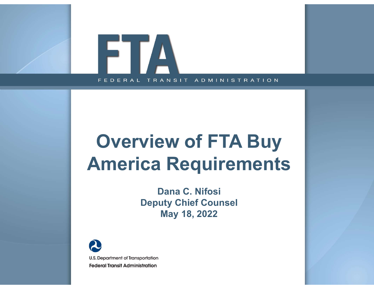

# Overview of FTA Buy America Requirements

Dana C. Nifosi Deputy Chief Counsel May 18, 2022

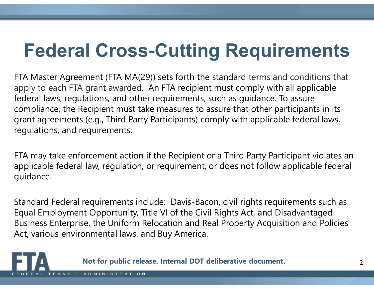# Federal Cross-Cutting Requirements

FTA Master Agreement (FTA MA(29)) sets forth the standard terms and conditions that apply to each FTA grant awarded. An FTA recipient must comply with all applicable federal laws, regulations, and other requirements, such as guidance. To assure compliance, the Recipient must take measures to assure that other participants in its grant agreements (e.g., Third Party Participants) comply with applicable federal laws, regulations, and requirements.

FTA may take enforcement action if the Recipient or a Third Party Participant violates an applicable federal law, regulation, or requirement, or does not follow applicable federal guidance.

Standard Federal requirements include: Davis-Bacon, civil rights requirements such as Equal Employment Opportunity, Title VI of the Civil Rights Act, and Disadvantaged Business Enterprise, the Uniform Relocation and Real Property Acquisition and Policies Act, various environmental laws, and Buy America. Department action if the Recipient or a Third Party Participant violates an law, regulation, or requirement, or does not follow applicable federal<br>requirements include: Davis-Bacon, civil rights requirements such as<br>the Op

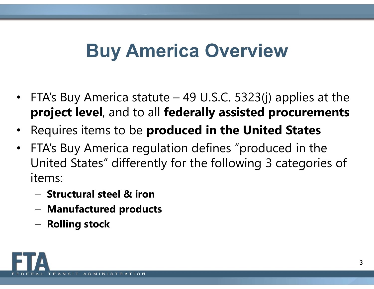# Buy America Overview

- **Buy America Overview<br>• FTA's Buy America statute 49 U.S.C. 5323(j) applies at the<br><b>project level**, and to all **federally assisted procurements**<br>• Pequires items to be **produced in the United States** project level, and to all federally assisted procurements
- Requires items to be produced in the United States
- FTA's Buy America regulation defines "produced in the United States" differently for the following 3 categories of items:
	- Structural steel & iron
	- Manufactured products
	- Rolling stock

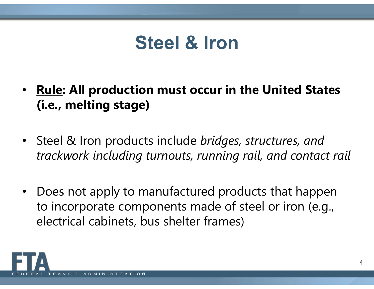# Steel & Iron

- Rule: All production must occur in the United States (i.e., melting stage)
- Steel & Iron products include bridges, structures, and trackwork including turnouts, running rail, and contact rail
- Does not apply to manufactured products that happen to incorporate components made of steel or iron (e.g., electrical cabinets, bus shelter frames)

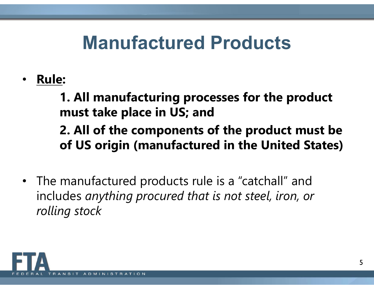# Manufactured Products

• Rule:

1. All manufacturing processes for the product must take place in US; and

2. All of the components of the product must be of US origin (manufactured in the United States)

• The manufactured products rule is a "catchall" and includes anything procured that is not steel, iron, or rolling stock

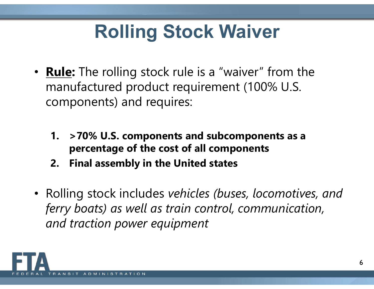# Rolling Stock Waiver

- **Rule:** The rolling stock rule is a "waiver" from the manufactured product requirement (100% U.S. components) and requires: **1. State: The rolling Stock Waiver**<br> **Rule:** The rolling stock rule is a "waiver" from the<br>
manufactured product requirement (100% U.S.<br>
components) and requires:<br> **1.** >70% U.S. components and subcomponents as a<br>
percent **Example:** The rolling stock rule is a "waiver" from the unitary-<br>
manufactured product requirement (100% U.S.<br>
components) and requires:<br> **1.** > 70% U.S. components and subcomponents as<br>
percentage of the cost of all comp
	- percentage of the cost of all components
	-
- Rolling stock includes vehicles (buses, locomotives, and ferry boats) as well as train control, communication, and traction power equipment

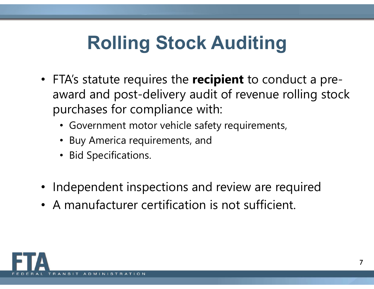# Rolling Stock Auditing

- FTA's statute requires the recipient to conduct a preaward and post-delivery audit of revenue rolling stock purchases for compliance with:
	- Government motor vehicle safety requirements,
	- Buy America requirements, and
	- Bid Specifications.
- Independent inspections and review are required
- A manufacturer certification is not sufficient.

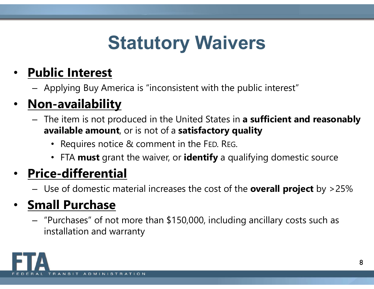# Statutory Waivers

## Public Interest

– Applying Buy America is "inconsistent with the public interest"

### Non-availability

- The item is not produced in the United States in a sufficient and reasonably available amount, or is not of a satisfactory quality
	- Requires notice & comment in the FED. REG.
	- FTA must grant the waiver, or identify a qualifying domestic source

## • Price-differential

– Use of domestic material increases the cost of the **overall project** by >25%

### • Small Purchase

– "Purchases" of not more than \$150,000, including ancillary costs such as installation and warranty

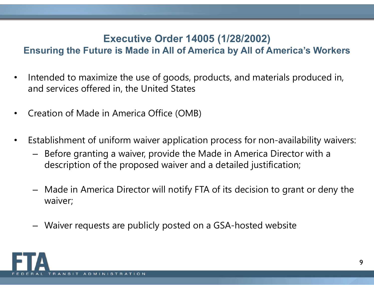### Executive Order 14005 (1/28/2002)

### Ensuring the Future is Made in All of America by All of America's Workers

- Intended to maximize the use of goods, products, and materials produced in, and services offered in, the United States
- Creation of Made in America Office (OMB)
- Establishment of uniform waiver application process for non-availability waivers:
	- Before granting a waiver, provide the Made in America Director with a description of the proposed waiver and a detailed justification;
	- Made in America Director will notify FTA of its decision to grant or deny the waiver;
	- Waiver requests are publicly posted on a GSA-hosted website

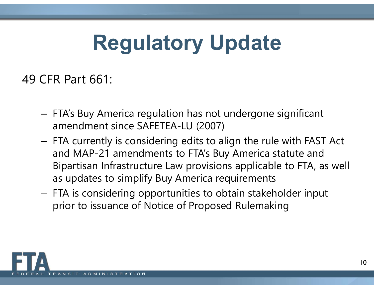# Regulatory Update

49 CFR Part 661:

- FTA's Buy America regulation has not undergone significant amendment since SAFETEA-LU (2007)
- FTA currently is considering edits to align the rule with FAST Act and MAP-21 amendments to FTA's Buy America statute and Bipartisan Infrastructure Law provisions applicable to FTA, as well as updates to simplify Buy America requirements
- FTA is considering opportunities to obtain stakeholder input prior to issuance of Notice of Proposed Rulemaking

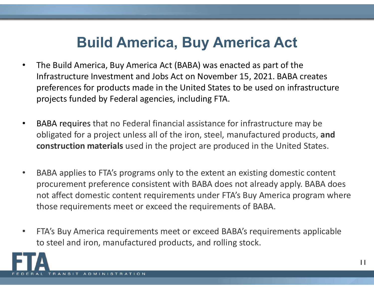# Build America, Buy America Act

- The Build America, Buy America Act (BABA) was enacted as part of the Infrastructure Investment and Jobs Act on November 15, 2021. BABA creates preferences for products made in the United States to be used on infrastructure projects funded by Federal agencies, including FTA.
- BABA requires that no Federal financial assistance for infrastructure may be obligated for a project unless all of the iron, steel, manufactured products, and construction materials used in the project are produced in the United States.
- BABA applies to FTA's programs only to the extent an existing domestic content procurement preference consistent with BABA does not already apply. BABA does not affect domestic content requirements under FTA's Buy America program where those requirements meet or exceed the requirements of BABA.
- FTA's Buy America requirements meet or exceed BABA's requirements applicable to steel and iron, manufactured products, and rolling stock.

11